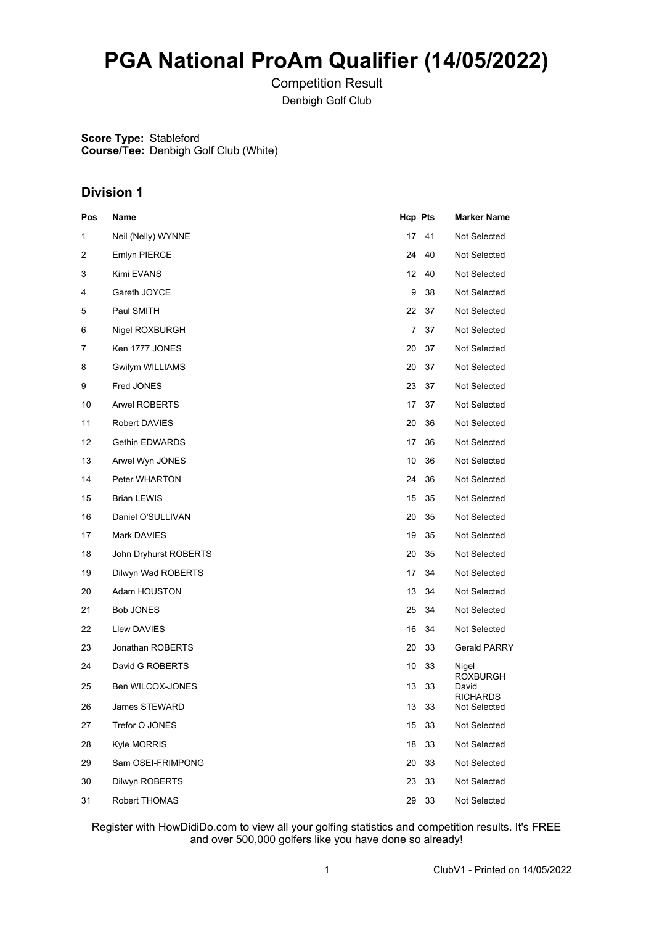# **PGA National ProAm Qualifier (14/05/2022)**

Competition Result Denbigh Golf Club

**Score Type:** Stableford **Course/Tee:** Denbigh Golf Club (White)

### **Division 1**

| <u>Pos</u> | <u>Name</u>           | <b>Hcp Pts</b> |    | <b>Marker Name</b>              |
|------------|-----------------------|----------------|----|---------------------------------|
| 1          | Neil (Nelly) WYNNE    | 17             | 41 | Not Selected                    |
| 2          | <b>Emlyn PIERCE</b>   | 24             | 40 | Not Selected                    |
| 3          | Kimi EVANS            | 12             | 40 | Not Selected                    |
| 4          | Gareth JOYCE          | 9              | 38 | Not Selected                    |
| 5          | Paul SMITH            | 22             | 37 | Not Selected                    |
| 6          | Nigel ROXBURGH        | 7              | 37 | Not Selected                    |
| 7          | Ken 1777 JONES        | 20             | 37 | Not Selected                    |
| 8          | Gwilym WILLIAMS       | 20             | 37 | Not Selected                    |
| 9          | Fred JONES            | 23             | 37 | Not Selected                    |
| 10         | <b>Arwel ROBERTS</b>  | 17             | 37 | Not Selected                    |
| 11         | Robert DAVIES         | 20             | 36 | Not Selected                    |
| 12         | <b>Gethin EDWARDS</b> | 17             | 36 | Not Selected                    |
| 13         | Arwel Wyn JONES       | 10             | 36 | Not Selected                    |
| 14         | Peter WHARTON         | 24             | 36 | Not Selected                    |
| 15         | <b>Brian LEWIS</b>    | 15             | 35 | Not Selected                    |
| 16         | Daniel O'SULLIVAN     | 20             | 35 | Not Selected                    |
| 17         | Mark DAVIES           | 19             | 35 | Not Selected                    |
| 18         | John Dryhurst ROBERTS | 20             | 35 | Not Selected                    |
| 19         | Dilwyn Wad ROBERTS    | 17             | 34 | Not Selected                    |
| 20         | Adam HOUSTON          | 13             | 34 | Not Selected                    |
| 21         | <b>Bob JONES</b>      | 25             | 34 | Not Selected                    |
| 22         | Llew DAVIES           | 16             | 34 | Not Selected                    |
| 23         | Jonathan ROBERTS      | 20             | 33 | Gerald PARRY                    |
| 24         | David G ROBERTS       | 10             | 33 | Nigel<br>ROXBURGH               |
| 25         | Ben WILCOX-JONES      | 13             | 33 | David                           |
| 26         | James STEWARD         | 13             | 33 | <b>RICHARDS</b><br>Not Selected |
| 27         | Trefor O JONES        | 15             | 33 | Not Selected                    |
| 28         | Kyle MORRIS           | 18             | 33 | Not Selected                    |
| 29         | Sam OSEI-FRIMPONG     | 20             | 33 | Not Selected                    |
| 30         | Dilwyn ROBERTS        | 23             | 33 | Not Selected                    |
| 31         | Robert THOMAS         | 29             | 33 | Not Selected                    |

Register with HowDidiDo.com to view all your golfing statistics and competition results. It's FREE and over 500,000 golfers like you have done so already!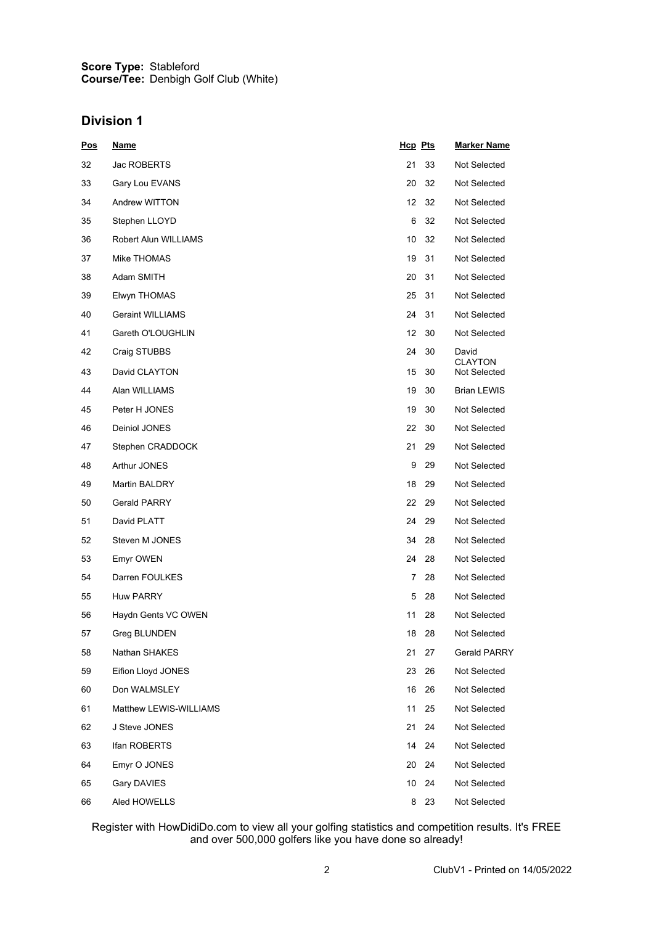#### **Score Type: Course/Tee:** Stableford Denbigh Golf Club (White)

### **Division 1**

| <u>Pos</u> | <u>Name</u>             | <b>Hcp Pts</b> |    | <b>Marker Name</b>      |
|------------|-------------------------|----------------|----|-------------------------|
| 32         | Jac ROBERTS             | 21             | 33 | Not Selected            |
| 33         | Gary Lou EVANS          | 20             | 32 | Not Selected            |
| 34         | Andrew WITTON           | 12             | 32 | Not Selected            |
| 35         | Stephen LLOYD           | 6              | 32 | Not Selected            |
| 36         | Robert Alun WILLIAMS    | 10             | 32 | Not Selected            |
| 37         | Mike THOMAS             | 19             | 31 | Not Selected            |
| 38         | Adam SMITH              | 20             | 31 | Not Selected            |
| 39         | Elwyn THOMAS            | 25             | 31 | Not Selected            |
| 40         | <b>Geraint WILLIAMS</b> | 24             | 31 | Not Selected            |
| 41         | Gareth O'LOUGHLIN       | 12             | 30 | Not Selected            |
| 42         | Craig STUBBS            | 24             | 30 | David<br><b>CLAYTON</b> |
| 43         | David CLAYTON           | 15             | 30 | Not Selected            |
| 44         | Alan WILLIAMS           | 19             | 30 | Brian LEWIS             |
| 45         | Peter H JONES           | 19             | 30 | Not Selected            |
| 46         | Deiniol JONES           | 22             | 30 | Not Selected            |
| 47         | Stephen CRADDOCK        | 21             | 29 | Not Selected            |
| 48         | Arthur JONES            | 9              | 29 | Not Selected            |
| 49         | Martin BALDRY           | 18             | 29 | Not Selected            |
| 50         | <b>Gerald PARRY</b>     | 22             | 29 | Not Selected            |
| 51         | David PLATT             | 24             | 29 | Not Selected            |
| 52         | Steven M JONES          | 34             | 28 | Not Selected            |
| 53         | Emyr OWEN               | 24             | 28 | Not Selected            |
| 54         | Darren FOULKES          | 7              | 28 | Not Selected            |
| 55         | <b>Huw PARRY</b>        | 5              | 28 | Not Selected            |
| 56         | Haydn Gents VC OWEN     | 11             | 28 | Not Selected            |
| 57         | Greg BLUNDEN            | 18             | 28 | Not Selected            |
| 58         | Nathan SHAKES           | 21             | 27 | Gerald PARRY            |
| 59         | Eifion Lloyd JONES      | 23             | 26 | Not Selected            |
| 60         | Don WALMSLEY            | 16             | 26 | Not Selected            |
| 61         | Matthew LEWIS-WILLIAMS  | 11             | 25 | Not Selected            |
| 62         | J Steve JONES           | 21             | 24 | Not Selected            |
| 63         | Ifan ROBERTS            | 14             | 24 | Not Selected            |
| 64         | Emyr O JONES            | 20             | 24 | Not Selected            |
| 65         | Gary DAVIES             | 10             | 24 | Not Selected            |
| 66         | Aled HOWELLS            | 8              | 23 | Not Selected            |

Register with HowDidiDo.com to view all your golfing statistics and competition results. It's FREE and over 500,000 golfers like you have done so already!